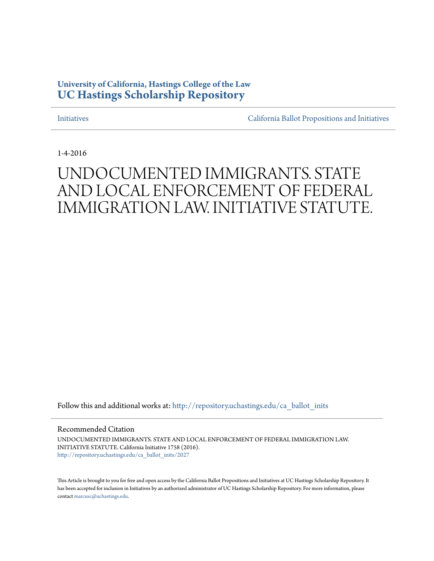## **University of California, Hastings College of the Law [UC Hastings Scholarship Repository](http://repository.uchastings.edu?utm_source=repository.uchastings.edu%2Fca_ballot_inits%2F2027&utm_medium=PDF&utm_campaign=PDFCoverPages)**

[Initiatives](http://repository.uchastings.edu/ca_ballot_inits?utm_source=repository.uchastings.edu%2Fca_ballot_inits%2F2027&utm_medium=PDF&utm_campaign=PDFCoverPages) [California Ballot Propositions and Initiatives](http://repository.uchastings.edu/ca_ballots?utm_source=repository.uchastings.edu%2Fca_ballot_inits%2F2027&utm_medium=PDF&utm_campaign=PDFCoverPages)

1-4-2016

## UNDOCUMENTED IMMIGRANTS. STATE AND LOCAL ENFORCEMENT OF FEDERAL IMMIGRATION LAW. INITIATIVE STATUTE.

Follow this and additional works at: [http://repository.uchastings.edu/ca\\_ballot\\_inits](http://repository.uchastings.edu/ca_ballot_inits?utm_source=repository.uchastings.edu%2Fca_ballot_inits%2F2027&utm_medium=PDF&utm_campaign=PDFCoverPages)

Recommended Citation

UNDOCUMENTED IMMIGRANTS. STATE AND LOCAL ENFORCEMENT OF FEDERAL IMMIGRATION LAW. INITIATIVE STATUTE. California Initiative 1758 (2016). [http://repository.uchastings.edu/ca\\_ballot\\_inits/2027](http://repository.uchastings.edu/ca_ballot_inits/2027?utm_source=repository.uchastings.edu%2Fca_ballot_inits%2F2027&utm_medium=PDF&utm_campaign=PDFCoverPages)

This Article is brought to you for free and open access by the California Ballot Propositions and Initiatives at UC Hastings Scholarship Repository. It has been accepted for inclusion in Initiatives by an authorized administrator of UC Hastings Scholarship Repository. For more information, please contact [marcusc@uchastings.edu](mailto:marcusc@uchastings.edu).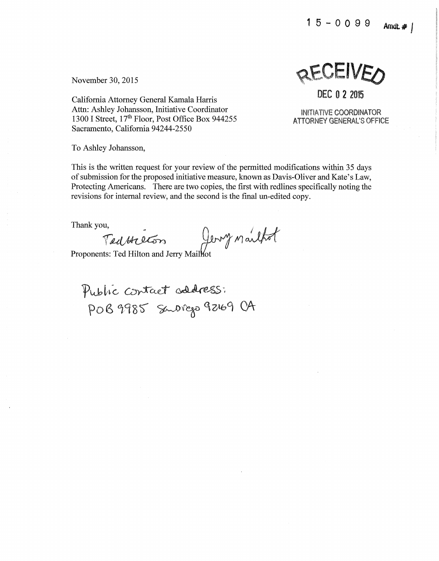$15 - 0099$  Amdt. #



California Attorney General Kamala Harris Attn: Ashley Johansson, Initiative Coordinator 1300 I Street, 17<sup>th</sup> Floor, Post Office Box 944255 Sacramento, California 94244-2550

INITIATIVE COORDINATOR ATTORNEY GENERAL'S OFFICE

DEC O **2** <sup>2015</sup>

To Ashley Johansson,

This is the written request for your review of the permitted modifications within 35 days of submission for the proposed initiative measure, known as Davis-Oliver and Kate's Law, Protecting Americans. There are two copies, the first with redlines specifically noting the revisions for internal review, and the second is the final un-edited copy.

revisions for internal review, and the second is the final un-edit<br>Thank you,<br> *TeclAteGr*s *Proponents: Ted Hilton and Jerry Mailhot* 

Proponents: Ted Hilton and Jerry Maillot

Public contact address: POB 9985 Subrego 92169 CA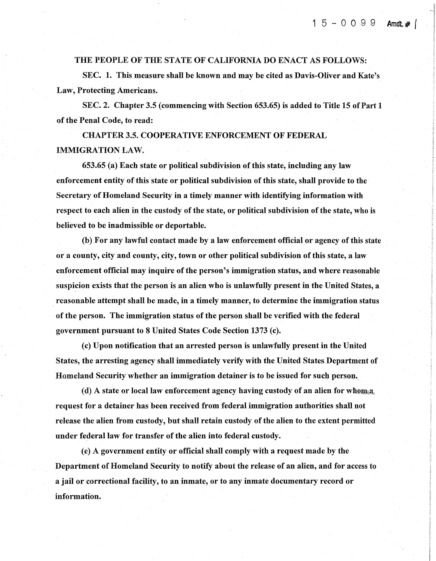## THE PEOPLE OF THE STATE OF CALIFORNIA DO ENACT AS FOLLOWS:

SEC. 1. This measure shall be known and may be cited as Davis-Oliver and Kate's Law, Protecting Americans.

SEC. 2. Chapter 3.5 ( commencing with Section 653.65) is added to Title 15 of Part 1 of the Penal Code, to read:

CHAPTER3.5. COOPERATIVE ENFORCEMENT OF FEDERAL IMMIGRATION LAW.

653.65 (a)Each state or political subdivision of this state, including any law enforcement entity of this state or political subdivision of this state, shall provide to the Secretary of Homeland Security in a timely manner with identifying information with respect to each alien in the custody of the state, or political subdivision of the state, who is believed to be inadmissible or deportable.

(b) For any lawful contact made by a law enforcement official or agency of this state or a county, city and county, city, town or other political subdivision of this state, a law enforcement official may inquire of the person's immigration status, and where reasonable suspicion exists that the person is an alien who is unlawfully present in the United States, a reasonable attempt shall be made, in a timely manner, to determine the immigration status of the person. The immigration status of the person shall be verified with the federal government pursuant to 8 United States Code Section 1373 (c).

(c) Upon notification that an arrested person is unlawfully present in the United States, the arresting agency shall immediately verify with the United States Department of Homeland Security whether an immigration detainer is to be issued for such person.

(d) A state or local law enforcement agency having custody of an alien for whom  $a$ . request for a detainer has been received from federal immigration authorities shall not release the alien from custody, but shall retain custody of the alien to the extent permitted under federal law for transfer of the alien into federal custody.

( e) A government entity or official shall comply with a request made by the Department of Homeland Security to notify about the release of an alien, and for access to a jail or correctional facility, to an inmate, or to any inmate documentary record or information.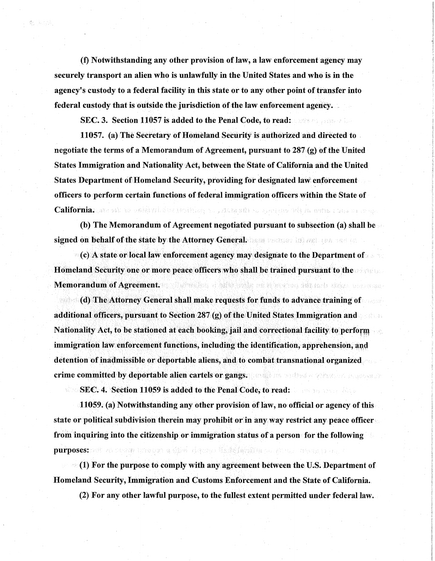(f) Notwithstanding any other provision of law, a law enforcement agency may securely transport an alien who is unlawfully in the United States and who is in the agency's custody to a federal facility in this state or to any other point of transfer into federal custody that is outside the jurisdiction of the law enforcement agency.

SEC. 3. Section 11057 is added to the Penal Code, to read: Allen and Section

数字式

11057. (a) The Secretary of Homeland Security is authorized and directed to negotiate the terms of a Memorandum of Agreement, pursuant to 287 (g) of the United States Immigration and Nationality Act, between the State of California and the United States Department of Homeland Security, providing for designated law enforcement officers to perform certain functions of federal immigration officers within the State of California: passas and a pathyric descripting to political to protest 16) in antal class in chap

(b) The Memorandum of Agreement negotiated pursuant to subsection (a) shall be signed on behalf of the state by the Attorney General. The state of the state of the

 $\bullet$  (c) A state or local law enforcement agency may designate to the Department of Homeland Security one or more peace officers who shall be trained pursuant to the Memorandum of Agreement. The state of the state of the state of the state of the state of the state of the state of the state of the state of the state of the state of the state of the state of the state of the state of th

**ability** (d) The Attorney General shall make requests for funds to advance training of additional officers, pursuant to Section 287 (g) of the United States Immigration and Nationality Act, to be stationed at each booking, jail and correctional facility to perform immigration law enforcement functions, including the identification, apprehension, and detention of inadmissible or deportable aliens, and to combat transnational organized crime committed by deportable alien cartels or gangs. The state of the constant second second

SEC. 4. Section 11059 is added to the Penal Code, to read: miller.

11059. (a) Notwithstanding any other provision of law, no official or agency of this state or political subdivision therein may prohibit or in any way restrict any peace officer from inquiring into the citizenship or immigration status of a person for the following purposes: and the strate between a high rights of indefacilities as the advantage of

 $\mathcal{O}(1)$  For the purpose to comply with any agreement between the U.S. Department of Homeland Security, Immigration and Customs Enforcement and the State of California.

(2) For any other lawful purpose, to the fullest extent permitted under federal law.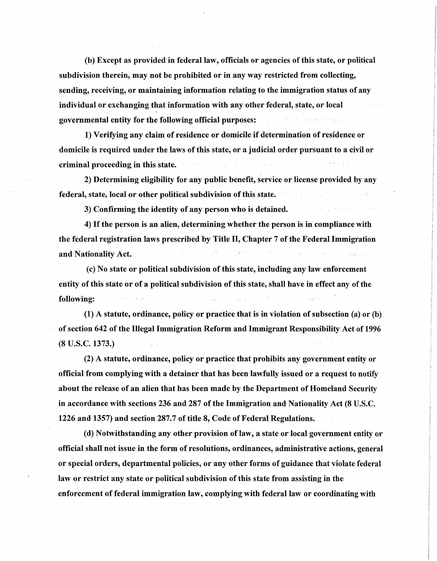(b) Except as provided in federal law, officials or agencies of this state, or political subdivision therein, may not be prohibited or in any way restricted from collecting, sending, receiving, or maintaining information relating to the immigration status of any individual or exchanging that information with any other federal, state, or local governmental entity for the following official purposes:

1) Verifying any claim of residence or domicile if determination of residence or domicile is required under the laws of this state, or a judicial order pursuant to a civil or criminal proceeding in this state.

2) Determining eligibility for any public benefit, service or license provided by any federal, state, local or other political subdivision of this state.

3) Confirming the identity of any person who is detained.

4) If the person is an alien, determining whether the person is in compliance with the federal registration laws prescribed by Title II, Chapter 7 of the Federal Immigration and Nationality Act.

{c) No state or political subdivision of this state, including any law enforcement entity of this state or of a political subdivision of this state, shall have in effect any of the following:

(1) A statute, ordinance, policy or practice that is in violation of subsection {a) or {b) of section 642 of the Illegal Immigration Reform and Immigrant Responsibility Act of 1996 (8 u.s.c. 1373.)

(2) A statute, ordinance, policy or practice that prohibits any government entity or official from complying with a detainer that has been lawfully issued or a request to notify about the release of an alien that has been made by the Department of Homeland Security in accordance with sections 236 and 287 of the Immigration and Nationality Act (8 U.S.C. 1226 and 1357) and section 287.7 of title 8, Code of Federal Regulations.

{ d) Notwithstanding any other provision of law, a state or local government entity or official shall not issue in the form of resolutions, ordinances, administrative actions, general or special orders, departmental policies, or any other forms of guidance that violate federal law or restrict any state or political subdivision of this state from assisting in the enforcement of federal immigration law, complying with federal law or coordinating with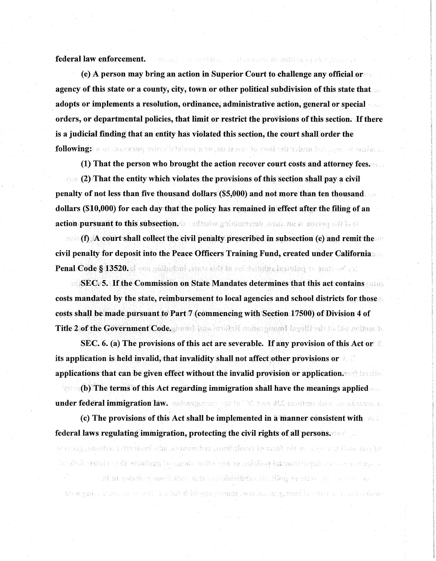federal law enforcement. The same to additional and assume the enforcement of the second state of the second state of the second state of the second state of the second state of the second state of the second state of the

(e) A person may bring an action in Superior Court to challenge any official or agency of this state or a county, city, town or other political subdivision of this state that adopts or implements a resolution, ordinance, administrative action, general or special orders, or departmental policies, that limit or restrict the provisions of this section. If there is a judicial finding that an entity has violated this section, the court shall order the following: a or rassenger should be a second as the seal and refers on the set of  $\mathbf{q}$ 

(1) That the person who brought the action recover court costs and attorney fees.

(2) That the entity which violates the provisions of this section shall pay a civil penalty of not less than five thousand dollars (\$5,000) and not more than ten thousand dollars (\$10,000) for each day that the policy has remained in effect after the filing of an action pursuant to this subsection. A contract which would make many simples of the re-

**Example 15 A court shall collect the civil penalty prescribed in subsection (e) and remit the** civil penalty for deposit into the Peace Officers Training Fund, created under California Penal Code § 13520. The pulled of state and in environmental control of the

**SEC. 5. If the Commission on State Mandates determines that this act contains**  $\sim$ costs mandated by the state, reimbursement to local agencies and school districts for those costs shall be made pursuant to Part 7 (commencing with Section 17500) of Division 4 of Title 2 of the Government Code. given a since which we shall say if I will be a fine mother to

SEC, 6. (a) The provisions of this act are severable. If any provision of this Act or  $\mathbb R$ its application is held invalid, that invalidity shall not affect other provisions or applications that can be given effect without the invalid provision or application.

 $\sim$  (b) The terms of this Act regarding immigration shall have the meanings applied under federal immigration law. genergiance and he "Motors differentians since conditions to

(c) The provisions of this Act shall be implemented in a manner consistent with federal laws regulating immigration, protecting the civil rights of all persons.

uglicas cieli ter certe oslidad fuma af revaliridada, grânniana, aide imanada ti antionis, general

 $\alpha$  specifies the constant policing, is any other depart of gardence the childre form

สุข พวกประ จากการราช พล.่ว่า ปลิสัยสิ่งที่พิษณ์ คัญชนะ เพลง กล่าวราหาของไป อย่าง ราวจากกลังพ

. The contraction of the controller in the substantial properties in the compared in the  $\Omega$